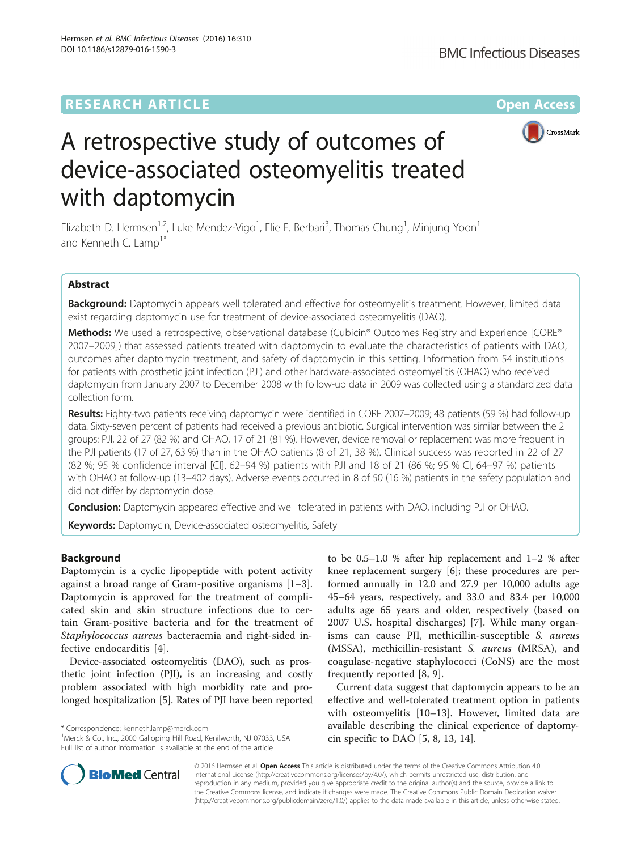DOI 10.1186/s12879-016-1590-3

Hermsen et al. BMC Infectious Diseases (2016) 16:310



# A retrospective study of outcomes of device-associated osteomyelitis treated with daptomycin

Elizabeth D. Hermsen<sup>1,2</sup>, Luke Mendez-Vigo<sup>1</sup>, Elie F. Berbari<sup>3</sup>, Thomas Chung<sup>1</sup>, Minjung Yoon<sup>1</sup> and Kenneth C. Lamp<sup>1\*</sup>

# Abstract

Background: Daptomycin appears well tolerated and effective for osteomyelitis treatment. However, limited data exist regarding daptomycin use for treatment of device-associated osteomyelitis (DAO).

Methods: We used a retrospective, observational database (Cubicin® Outcomes Registry and Experience [CORE® 2007–2009]) that assessed patients treated with daptomycin to evaluate the characteristics of patients with DAO, outcomes after daptomycin treatment, and safety of daptomycin in this setting. Information from 54 institutions for patients with prosthetic joint infection (PJI) and other hardware-associated osteomyelitis (OHAO) who received daptomycin from January 2007 to December 2008 with follow-up data in 2009 was collected using a standardized data collection form.

Results: Eighty-two patients receiving daptomycin were identified in CORE 2007–2009; 48 patients (59 %) had follow-up data. Sixty-seven percent of patients had received a previous antibiotic. Surgical intervention was similar between the 2 groups: PJI, 22 of 27 (82 %) and OHAO, 17 of 21 (81 %). However, device removal or replacement was more frequent in the PJI patients (17 of 27, 63 %) than in the OHAO patients (8 of 21, 38 %). Clinical success was reported in 22 of 27 (82 %; 95 % confidence interval [CI], 62–94 %) patients with PJI and 18 of 21 (86 %; 95 % CI, 64–97 %) patients with OHAO at follow-up (13–402 days). Adverse events occurred in 8 of 50 (16 %) patients in the safety population and did not differ by daptomycin dose.

**Conclusion:** Daptomycin appeared effective and well tolerated in patients with DAO, including PJI or OHAO.

Keywords: Daptomycin, Device-associated osteomyelitis, Safety

# Background

Daptomycin is a cyclic lipopeptide with potent activity against a broad range of Gram-positive organisms [\[1](#page-4-0)–[3](#page-4-0)]. Daptomycin is approved for the treatment of complicated skin and skin structure infections due to certain Gram-positive bacteria and for the treatment of Staphylococcus aureus bacteraemia and right-sided infective endocarditis [\[4](#page-4-0)].

Device-associated osteomyelitis (DAO), such as prosthetic joint infection (PJI), is an increasing and costly problem associated with high morbidity rate and prolonged hospitalization [[5\]](#page-4-0). Rates of PJI have been reported

\* Correspondence: [kenneth.lamp@merck.com](mailto:kenneth.lamp@merck.com) <sup>1</sup>



Current data suggest that daptomycin appears to be an effective and well-tolerated treatment option in patients with osteomyelitis [[10](#page-4-0)–[13](#page-4-0)]. However, limited data are available describing the clinical experience of daptomycin specific to DAO [\[5](#page-4-0), [8](#page-4-0), [13](#page-4-0), [14\]](#page-4-0).



© 2016 Hermsen et al. Open Access This article is distributed under the terms of the Creative Commons Attribution 4.0 International License [\(http://creativecommons.org/licenses/by/4.0/](http://creativecommons.org/licenses/by/4.0/)), which permits unrestricted use, distribution, and reproduction in any medium, provided you give appropriate credit to the original author(s) and the source, provide a link to the Creative Commons license, and indicate if changes were made. The Creative Commons Public Domain Dedication waiver [\(http://creativecommons.org/publicdomain/zero/1.0/](http://creativecommons.org/publicdomain/zero/1.0/)) applies to the data made available in this article, unless otherwise stated.

<sup>&</sup>lt;sup>1</sup>Merck & Co., Inc., 2000 Galloping Hill Road, Kenilworth, NJ 07033, USA Full list of author information is available at the end of the article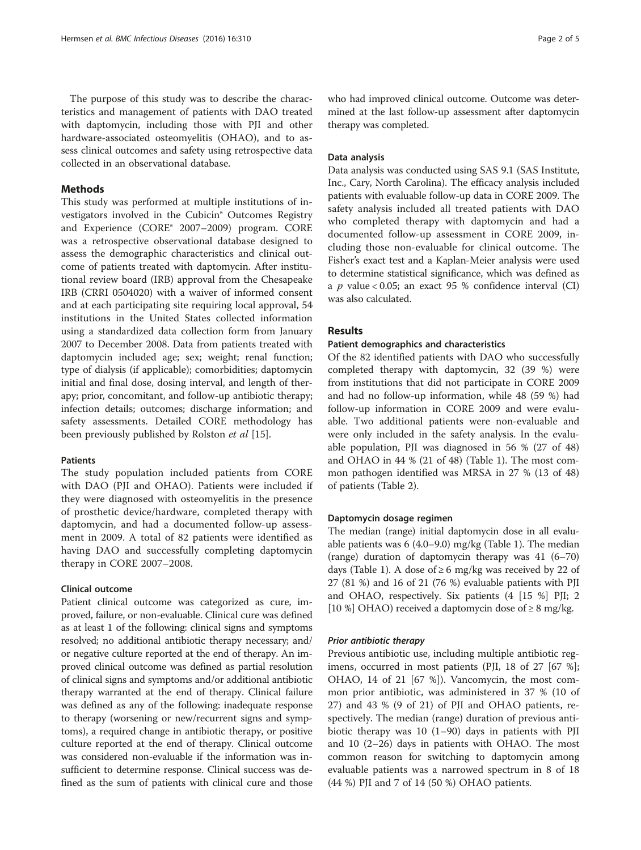The purpose of this study was to describe the characteristics and management of patients with DAO treated with daptomycin, including those with PJI and other hardware-associated osteomyelitis (OHAO), and to assess clinical outcomes and safety using retrospective data collected in an observational database.

# Methods

This study was performed at multiple institutions of investigators involved in the Cubicin® Outcomes Registry and Experience (CORE® 2007–2009) program. CORE was a retrospective observational database designed to assess the demographic characteristics and clinical outcome of patients treated with daptomycin. After institutional review board (IRB) approval from the Chesapeake IRB (CRRI 0504020) with a waiver of informed consent and at each participating site requiring local approval, 54 institutions in the United States collected information using a standardized data collection form from January 2007 to December 2008. Data from patients treated with daptomycin included age; sex; weight; renal function; type of dialysis (if applicable); comorbidities; daptomycin initial and final dose, dosing interval, and length of therapy; prior, concomitant, and follow-up antibiotic therapy; infection details; outcomes; discharge information; and safety assessments. Detailed CORE methodology has been previously published by Rolston et al [[15\]](#page-4-0).

# **Patients**

The study population included patients from CORE with DAO (PJI and OHAO). Patients were included if they were diagnosed with osteomyelitis in the presence of prosthetic device/hardware, completed therapy with daptomycin, and had a documented follow-up assessment in 2009. A total of 82 patients were identified as having DAO and successfully completing daptomycin therapy in CORE 2007–2008.

## Clinical outcome

Patient clinical outcome was categorized as cure, improved, failure, or non-evaluable. Clinical cure was defined as at least 1 of the following: clinical signs and symptoms resolved; no additional antibiotic therapy necessary; and/ or negative culture reported at the end of therapy. An improved clinical outcome was defined as partial resolution of clinical signs and symptoms and/or additional antibiotic therapy warranted at the end of therapy. Clinical failure was defined as any of the following: inadequate response to therapy (worsening or new/recurrent signs and symptoms), a required change in antibiotic therapy, or positive culture reported at the end of therapy. Clinical outcome was considered non-evaluable if the information was insufficient to determine response. Clinical success was defined as the sum of patients with clinical cure and those who had improved clinical outcome. Outcome was determined at the last follow-up assessment after daptomycin therapy was completed.

## Data analysis

Data analysis was conducted using SAS 9.1 (SAS Institute, Inc., Cary, North Carolina). The efficacy analysis included patients with evaluable follow-up data in CORE 2009. The safety analysis included all treated patients with DAO who completed therapy with daptomycin and had a documented follow-up assessment in CORE 2009, including those non-evaluable for clinical outcome. The Fisher's exact test and a Kaplan-Meier analysis were used to determine statistical significance, which was defined as a  $p$  value < 0.05; an exact 95 % confidence interval (CI) was also calculated.

## Results

## Patient demographics and characteristics

Of the 82 identified patients with DAO who successfully completed therapy with daptomycin, 32 (39 %) were from institutions that did not participate in CORE 2009 and had no follow-up information, while 48 (59 %) had follow-up information in CORE 2009 and were evaluable. Two additional patients were non-evaluable and were only included in the safety analysis. In the evaluable population, PJI was diagnosed in 56 % (27 of 48) and OHAO in 44 % (21 of 48) (Table [1](#page-2-0)). The most common pathogen identified was MRSA in 27 % (13 of 48) of patients (Table [2](#page-2-0)).

### Daptomycin dosage regimen

The median (range) initial daptomycin dose in all evaluable patients was 6 (4.0–9.0) mg/kg (Table [1](#page-2-0)). The median (range) duration of daptomycin therapy was 41 (6–70) days (Table [1](#page-2-0)). A dose of  $\geq 6$  mg/kg was received by 22 of 27 (81 %) and 16 of 21 (76 %) evaluable patients with PJI and OHAO, respectively. Six patients (4 [15 %] PJI; 2 [10 %] OHAO) received a daptomycin dose of  $\geq 8$  mg/kg.

Previous antibiotic use, including multiple antibiotic regimens, occurred in most patients (PJI, 18 of 27 [67 %]; OHAO, 14 of 21 [67 %]). Vancomycin, the most common prior antibiotic, was administered in 37 % (10 of 27) and 43 % (9 of 21) of PJI and OHAO patients, respectively. The median (range) duration of previous antibiotic therapy was 10 (1–90) days in patients with PJI and 10 (2–26) days in patients with OHAO. The most common reason for switching to daptomycin among evaluable patients was a narrowed spectrum in 8 of 18 (44 %) PJI and 7 of 14 (50 %) OHAO patients.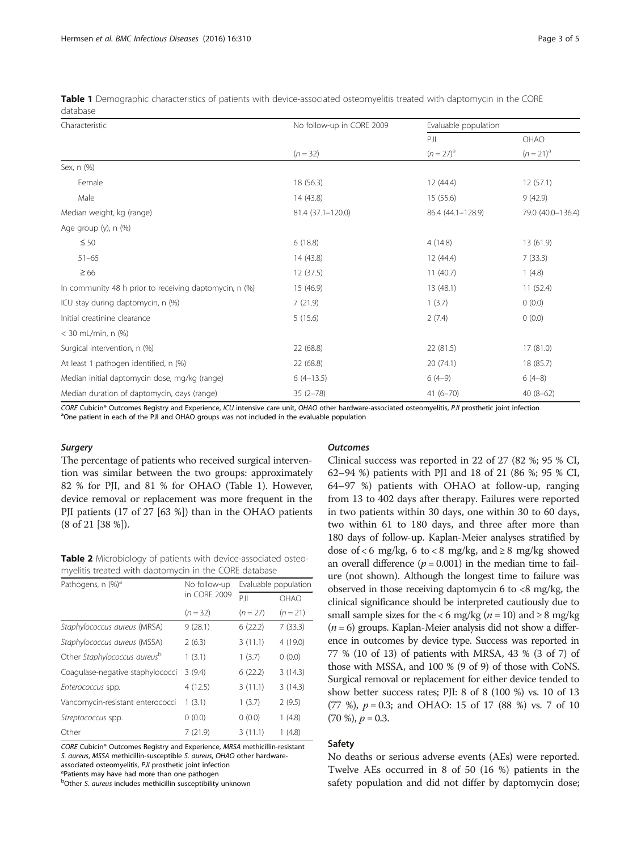| Characteristic                                         | No follow-up in CORE 2009<br>$(n = 32)$ | Evaluable population |                      |
|--------------------------------------------------------|-----------------------------------------|----------------------|----------------------|
|                                                        |                                         | PI<br>$(n=27)^{a}$   | OHAO<br>$(n=21)^{a}$ |
|                                                        |                                         |                      |                      |
| Female                                                 | 18 (56.3)                               | 12 (44.4)            | 12(57.1)             |
| Male                                                   | 14(43.8)                                | 15(55.6)             | 9(42.9)              |
| Median weight, kg (range)                              | 81.4 (37.1-120.0)                       | 86.4 (44.1-128.9)    | 79.0 (40.0-136.4)    |
| Age group $(y)$ , n $(\%)$                             |                                         |                      |                      |
| $\leq 50$                                              | 6(18.8)                                 | 4(14.8)              | 13 (61.9)            |
| $51 - 65$                                              | 14(43.8)                                | 12 (44.4)            | 7(33.3)              |
| $\geq 66$                                              | 12(37.5)                                | 11(40.7)             | 1(4.8)               |
| In community 48 h prior to receiving daptomycin, n (%) | 15 (46.9)                               | 13 (48.1)            | 11(52.4)             |
| ICU stay during daptomycin, n (%)                      | 7(21.9)                                 | 1(3.7)               | 0(0.0)               |
| Initial creatinine clearance                           | 5(15.6)                                 | 2(7.4)               | 0(0.0)               |
| $<$ 30 mL/min, n $(\%)$                                |                                         |                      |                      |
| Surgical intervention, n (%)                           | 22 (68.8)                               | 22 (81.5)            | 17(81.0)             |
| At least 1 pathogen identified, n (%)                  | 22 (68.8)                               | 20 (74.1)            | 18 (85.7)            |
| Median initial daptomycin dose, mg/kg (range)          | $6(4-13.5)$                             | $6(4-9)$             | $6(4-8)$             |
| Median duration of daptomycin, days (range)            | $35(2 - 78)$                            | $41(6 - 70)$         | $40(8-62)$           |

<span id="page-2-0"></span>Table 1 Demographic characteristics of patients with device-associated osteomyelitis treated with daptomycin in the CORE database

CORE Cubicin® Outcomes Registry and Experience, ICU intensive care unit, OHAO other hardware-associated osteomyelitis, PJI prosthetic joint infection <sup>a</sup>One patient in each of the PJI and OHAO groups was not included in the evaluable population

The percentage of patients who received surgical intervention was similar between the two groups: approximately 82 % for PJI, and 81 % for OHAO (Table 1). However, device removal or replacement was more frequent in the PJI patients (17 of 27 [63 %]) than in the OHAO patients (8 of 21 [38 %]).

Table 2 Microbiology of patients with device-associated osteomyelitis treated with daptomycin in the CORE database

| Pathogens, n (%) <sup>a</sup>            | No follow-up | Evaluable population |          |
|------------------------------------------|--------------|----------------------|----------|
|                                          | in CORE 2009 | PI                   | OHAO     |
|                                          | $(n = 32)$   | $(n = 27)$           | $(n=21)$ |
| Staphylococcus aureus (MRSA)             | 9(28.1)      | 6(22.2)              | 7(33.3)  |
| Staphylococcus aureus (MSSA)             | 2(6.3)       | 3(11.1)              | 4 (19.0) |
| Other Staphylococcus aureus <sup>b</sup> | 1(3.1)       | 1(3.7)               | 0(0.0)   |
| Coagulase-negative staphylococci         | 3(9.4)       | 6(22.2)              | 3(14.3)  |
| Enterococcus spp.                        | 4(12.5)      | 3(11.1)              | 3(14.3)  |
| Vancomycin-resistant enterococci         | 1(3.1)       | 1(3.7)               | 2(9.5)   |
| Streptococcus spp.                       | 0(0.0)       | 0(0.0)               | 1(4.8)   |
| Other                                    | 7(21.9)      | 3(11.1)              | 1(4.8)   |

CORE Cubicin® Outcomes Registry and Experience, MRSA methicillin-resistant S. aureus, MSSA methicillin-susceptible S. aureus, OHAO other hardwareassociated osteomyelitis, PJI prosthetic joint infection <sup>a</sup>Patients may have had more than one pathogen

<sup>b</sup>Other S. aureus includes methicillin susceptibility unknown

Clinical success was reported in 22 of 27 (82 %; 95 % CI, 62–94 %) patients with PJI and 18 of 21 (86 %; 95 % CI, 64–97 %) patients with OHAO at follow-up, ranging from 13 to 402 days after therapy. Failures were reported in two patients within 30 days, one within 30 to 60 days, two within 61 to 180 days, and three after more than 180 days of follow-up. Kaplan-Meier analyses stratified by dose of < 6 mg/kg, 6 to < 8 mg/kg, and  $\geq 8$  mg/kg showed an overall difference ( $p = 0.001$ ) in the median time to failure (not shown). Although the longest time to failure was observed in those receiving daptomycin 6 to  $<8$  mg/kg, the clinical significance should be interpreted cautiously due to small sample sizes for the <6 mg/kg ( $n = 10$ ) and ≥ 8 mg/kg  $(n = 6)$  groups. Kaplan-Meier analysis did not show a difference in outcomes by device type. Success was reported in 77 % (10 of 13) of patients with MRSA, 43 % (3 of 7) of those with MSSA, and 100 % (9 of 9) of those with CoNS. Surgical removal or replacement for either device tended to show better success rates; PJI: 8 of 8 (100 %) vs. 10 of 13 (77 %),  $p = 0.3$ ; and OHAO: 15 of 17 (88 %) vs. 7 of 10  $(70 \%)$ ,  $p = 0.3$ .

# Safety

No deaths or serious adverse events (AEs) were reported. Twelve AEs occurred in 8 of 50 (16 %) patients in the safety population and did not differ by daptomycin dose;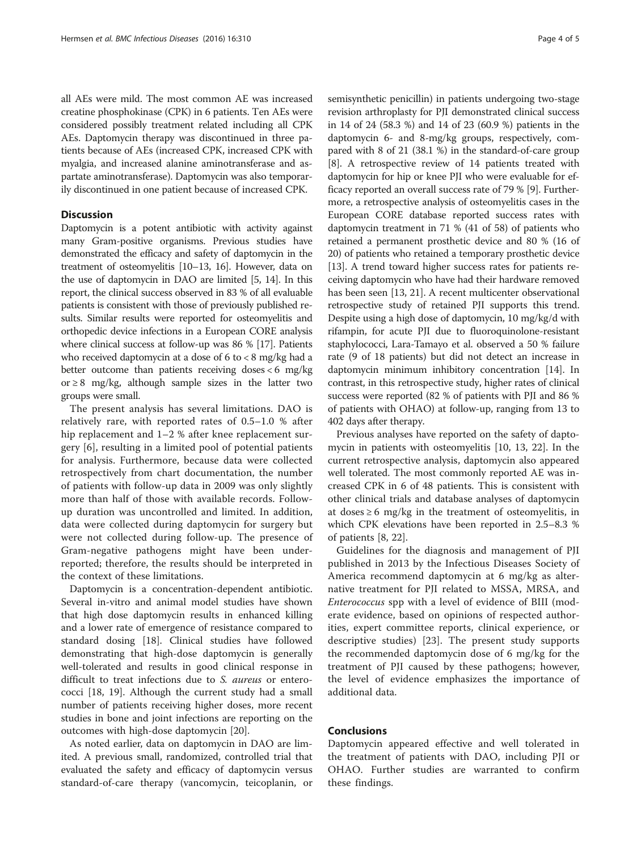all AEs were mild. The most common AE was increased creatine phosphokinase (CPK) in 6 patients. Ten AEs were considered possibly treatment related including all CPK AEs. Daptomycin therapy was discontinued in three patients because of AEs (increased CPK, increased CPK with myalgia, and increased alanine aminotransferase and aspartate aminotransferase). Daptomycin was also temporarily discontinued in one patient because of increased CPK.

# **Discussion**

Daptomycin is a potent antibiotic with activity against many Gram-positive organisms. Previous studies have demonstrated the efficacy and safety of daptomycin in the treatment of osteomyelitis [\[10](#page-4-0)–[13](#page-4-0), [16\]](#page-4-0). However, data on the use of daptomycin in DAO are limited [\[5, 14\]](#page-4-0). In this report, the clinical success observed in 83 % of all evaluable patients is consistent with those of previously published results. Similar results were reported for osteomyelitis and orthopedic device infections in a European CORE analysis where clinical success at follow-up was 86 % [\[17\]](#page-4-0). Patients who received daptomycin at a dose of 6 to < 8 mg/kg had a better outcome than patients receiving doses < 6 mg/kg or ≥ 8 mg/kg, although sample sizes in the latter two groups were small.

The present analysis has several limitations. DAO is relatively rare, with reported rates of 0.5–1.0 % after hip replacement and 1–2 % after knee replacement surgery [[6\]](#page-4-0), resulting in a limited pool of potential patients for analysis. Furthermore, because data were collected retrospectively from chart documentation, the number of patients with follow-up data in 2009 was only slightly more than half of those with available records. Followup duration was uncontrolled and limited. In addition, data were collected during daptomycin for surgery but were not collected during follow-up. The presence of Gram-negative pathogens might have been underreported; therefore, the results should be interpreted in the context of these limitations.

Daptomycin is a concentration-dependent antibiotic. Several in-vitro and animal model studies have shown that high dose daptomycin results in enhanced killing and a lower rate of emergence of resistance compared to standard dosing [[18](#page-4-0)]. Clinical studies have followed demonstrating that high-dose daptomycin is generally well-tolerated and results in good clinical response in difficult to treat infections due to S. aureus or enterococci [[18, 19\]](#page-4-0). Although the current study had a small number of patients receiving higher doses, more recent studies in bone and joint infections are reporting on the outcomes with high-dose daptomycin [\[20\]](#page-4-0).

As noted earlier, data on daptomycin in DAO are limited. A previous small, randomized, controlled trial that evaluated the safety and efficacy of daptomycin versus standard-of-care therapy (vancomycin, teicoplanin, or semisynthetic penicillin) in patients undergoing two-stage revision arthroplasty for PJI demonstrated clinical success in 14 of 24 (58.3 %) and 14 of 23 (60.9 %) patients in the daptomycin 6- and 8-mg/kg groups, respectively, compared with 8 of 21 (38.1 %) in the standard-of-care group [[8\]](#page-4-0). A retrospective review of 14 patients treated with daptomycin for hip or knee PJI who were evaluable for efficacy reported an overall success rate of 79 % [[9](#page-4-0)]. Furthermore, a retrospective analysis of osteomyelitis cases in the European CORE database reported success rates with daptomycin treatment in 71 % (41 of 58) of patients who retained a permanent prosthetic device and 80 % (16 of 20) of patients who retained a temporary prosthetic device [[13](#page-4-0)]. A trend toward higher success rates for patients receiving daptomycin who have had their hardware removed has been seen [\[13, 21](#page-4-0)]. A recent multicenter observational retrospective study of retained PJI supports this trend. Despite using a high dose of daptomycin, 10 mg/kg/d with rifampin, for acute PJI due to fluoroquinolone-resistant staphylococci, Lara-Tamayo et al. observed a 50 % failure rate (9 of 18 patients) but did not detect an increase in daptomycin minimum inhibitory concentration [\[14\]](#page-4-0). In contrast, in this retrospective study, higher rates of clinical success were reported (82 % of patients with PJI and 86 % of patients with OHAO) at follow-up, ranging from 13 to 402 days after therapy.

Previous analyses have reported on the safety of daptomycin in patients with osteomyelitis [[10, 13](#page-4-0), [22](#page-4-0)]. In the current retrospective analysis, daptomycin also appeared well tolerated. The most commonly reported AE was increased CPK in 6 of 48 patients. This is consistent with other clinical trials and database analyses of daptomycin at doses  $\geq 6$  mg/kg in the treatment of osteomyelitis, in which CPK elevations have been reported in 2.5–8.3 % of patients [[8, 22\]](#page-4-0).

Guidelines for the diagnosis and management of PJI published in 2013 by the Infectious Diseases Society of America recommend daptomycin at 6 mg/kg as alternative treatment for PJI related to MSSA, MRSA, and Enterococcus spp with a level of evidence of BIII (moderate evidence, based on opinions of respected authorities, expert committee reports, clinical experience, or descriptive studies) [[23\]](#page-4-0). The present study supports the recommended daptomycin dose of 6 mg/kg for the treatment of PJI caused by these pathogens; however, the level of evidence emphasizes the importance of additional data.

# Conclusions

Daptomycin appeared effective and well tolerated in the treatment of patients with DAO, including PJI or OHAO. Further studies are warranted to confirm these findings.